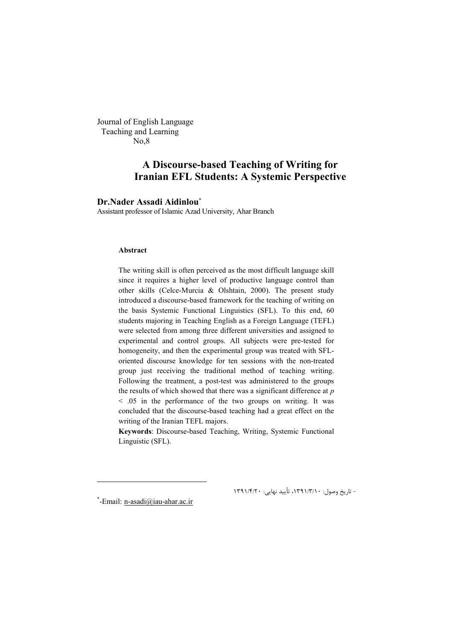Journal of English Language Teaching and Learning No,8

# **A Discourse-based Teaching of Writing for Iranian EFL Students: A Systemic Perspective**

### **Dr.Nader Assadi Aidinlou**

Assistant professor of Islamic Azad University, Ahar Branch

#### **Abstract**

The writing skill is often perceived as the most difficult language skill since it requires a higher level of productive language control than other skills (Celce-Murcia & Olshtain, 2000). The present study introduced a discourse-based framework for the teaching of writing on the basis Systemic Functional Linguistics (SFL). To this end, 60 students majoring in Teaching English as a Foreign Language (TEFL) were selected from among three different universities and assigned to experimental and control groups. All subjects were pre-tested for homogeneity, and then the experimental group was treated with SFLoriented discourse knowledge for ten sessions with the non-treated group just receiving the traditional method of teaching writing. Following the treatment, a post-test was administered to the groups the results of which showed that there was a significant difference at *p*  < .05 in the performance of the two groups on writing. It was concluded that the discourse-based teaching had a great effect on the writing of the Iranian TEFL majors.

**Keywords**: Discourse-based Teaching, Writing, Systemic Functional Linguistic (SFL).

-Email: n-asadi@iau-ahar.ac.ir

<u>.</u>

\* - تاریخ وصول: 10 /3/ ،1391 تأیید نهایی: 20 /4/ <sup>1391</sup>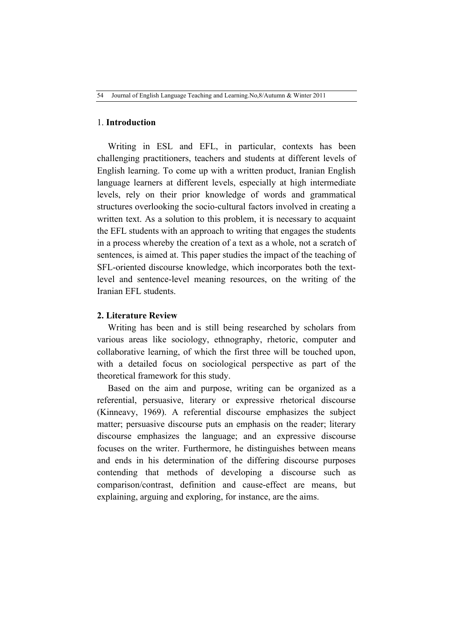### 1. **Introduction**

Writing in ESL and EFL, in particular, contexts has been challenging practitioners, teachers and students at different levels of English learning. To come up with a written product, Iranian English language learners at different levels, especially at high intermediate levels, rely on their prior knowledge of words and grammatical structures overlooking the socio-cultural factors involved in creating a written text. As a solution to this problem, it is necessary to acquaint the EFL students with an approach to writing that engages the students in a process whereby the creation of a text as a whole, not a scratch of sentences, is aimed at. This paper studies the impact of the teaching of SFL-oriented discourse knowledge, which incorporates both the textlevel and sentence-level meaning resources, on the writing of the Iranian EFL students.

### **2. Literature Review**

Writing has been and is still being researched by scholars from various areas like sociology, ethnography, rhetoric, computer and collaborative learning, of which the first three will be touched upon, with a detailed focus on sociological perspective as part of the theoretical framework for this study.

Based on the aim and purpose, writing can be organized as a referential, persuasive, literary or expressive rhetorical discourse (Kinneavy, 1969). A referential discourse emphasizes the subject matter; persuasive discourse puts an emphasis on the reader; literary discourse emphasizes the language; and an expressive discourse focuses on the writer. Furthermore, he distinguishes between means and ends in his determination of the differing discourse purposes contending that methods of developing a discourse such as comparison/contrast, definition and cause-effect are means, but explaining, arguing and exploring, for instance, are the aims.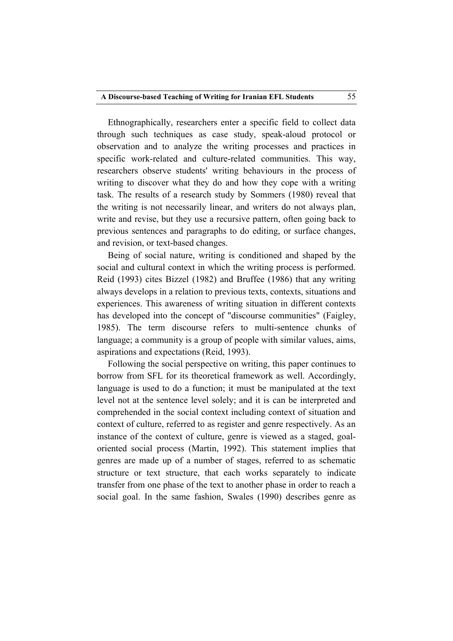Ethnographically, researchers enter a specific field to collect data through such techniques as case study, speak-aloud protocol or observation and to analyze the writing processes and practices in specific work-related and culture-related communities. This way, researchers observe students' writing behaviours in the process of writing to discover what they do and how they cope with a writing task. The results of a research study by Sommers (1980) reveal that the writing is not necessarily linear, and writers do not always plan, write and revise, but they use a recursive pattern, often going back to previous sentences and paragraphs to do editing, or surface changes, and revision, or text-based changes.

Being of social nature, writing is conditioned and shaped by the social and cultural context in which the writing process is performed. Reid (1993) cites Bizzel (1982) and Bruffee (1986) that any writing always develops in a relation to previous texts, contexts, situations and experiences. This awareness of writing situation in different contexts has developed into the concept of "discourse communities" (Faigley, 1985). The term discourse refers to multi-sentence chunks of language; a community is a group of people with similar values, aims, aspirations and expectations (Reid, 1993).

Following the social perspective on writing, this paper continues to borrow from SFL for its theoretical framework as well. Accordingly, language is used to do a function; it must be manipulated at the text level not at the sentence level solely; and it is can be interpreted and comprehended in the social context including context of situation and context of culture, referred to as register and genre respectively. As an instance of the context of culture, genre is viewed as a staged, goaloriented social process (Martin, 1992). This statement implies that genres are made up of a number of stages, referred to as schematic structure or text structure, that each works separately to indicate transfer from one phase of the text to another phase in order to reach a social goal. In the same fashion, Swales (1990) describes genre as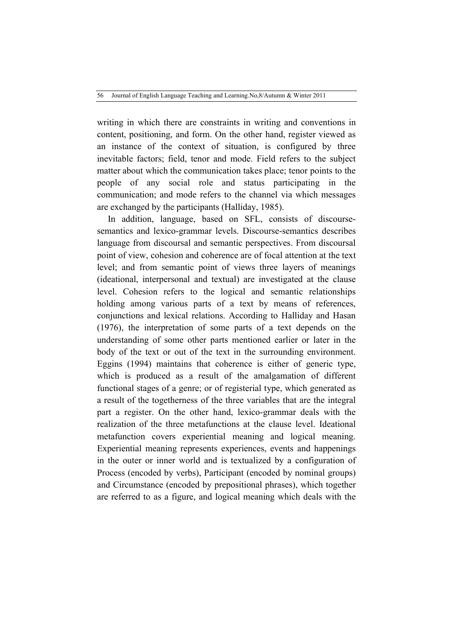writing in which there are constraints in writing and conventions in content, positioning, and form. On the other hand, register viewed as an instance of the context of situation, is configured by three inevitable factors; field, tenor and mode. Field refers to the subject matter about which the communication takes place; tenor points to the people of any social role and status participating in the communication; and mode refers to the channel via which messages are exchanged by the participants (Halliday, 1985).

In addition, language, based on SFL, consists of discoursesemantics and lexico-grammar levels. Discourse-semantics describes language from discoursal and semantic perspectives. From discoursal point of view, cohesion and coherence are of focal attention at the text level; and from semantic point of views three layers of meanings (ideational, interpersonal and textual) are investigated at the clause level. Cohesion refers to the logical and semantic relationships holding among various parts of a text by means of references, conjunctions and lexical relations. According to Halliday and Hasan (1976), the interpretation of some parts of a text depends on the understanding of some other parts mentioned earlier or later in the body of the text or out of the text in the surrounding environment. Eggins (1994) maintains that coherence is either of generic type, which is produced as a result of the amalgamation of different functional stages of a genre; or of registerial type, which generated as a result of the togetherness of the three variables that are the integral part a register. On the other hand, lexico-grammar deals with the realization of the three metafunctions at the clause level. Ideational metafunction covers experiential meaning and logical meaning. Experiential meaning represents experiences, events and happenings in the outer or inner world and is textualized by a configuration of Process (encoded by verbs), Participant (encoded by nominal groups) and Circumstance (encoded by prepositional phrases), which together are referred to as a figure, and logical meaning which deals with the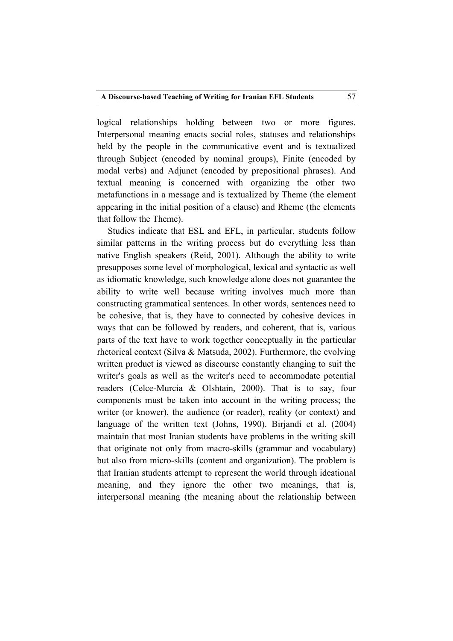logical relationships holding between two or more figures. Interpersonal meaning enacts social roles, statuses and relationships held by the people in the communicative event and is textualized through Subject (encoded by nominal groups), Finite (encoded by modal verbs) and Adjunct (encoded by prepositional phrases). And textual meaning is concerned with organizing the other two metafunctions in a message and is textualized by Theme (the element appearing in the initial position of a clause) and Rheme (the elements that follow the Theme).

Studies indicate that ESL and EFL, in particular, students follow similar patterns in the writing process but do everything less than native English speakers (Reid, 2001). Although the ability to write presupposes some level of morphological, lexical and syntactic as well as idiomatic knowledge, such knowledge alone does not guarantee the ability to write well because writing involves much more than constructing grammatical sentences. In other words, sentences need to be cohesive, that is, they have to connected by cohesive devices in ways that can be followed by readers, and coherent, that is, various parts of the text have to work together conceptually in the particular rhetorical context (Silva & Matsuda, 2002). Furthermore, the evolving written product is viewed as discourse constantly changing to suit the writer's goals as well as the writer's need to accommodate potential readers (Celce-Murcia & Olshtain, 2000). That is to say, four components must be taken into account in the writing process; the writer (or knower), the audience (or reader), reality (or context) and language of the written text (Johns, 1990). Birjandi et al. (2004) maintain that most Iranian students have problems in the writing skill that originate not only from macro-skills (grammar and vocabulary) but also from micro-skills (content and organization). The problem is that Iranian students attempt to represent the world through ideational meaning, and they ignore the other two meanings, that is, interpersonal meaning (the meaning about the relationship between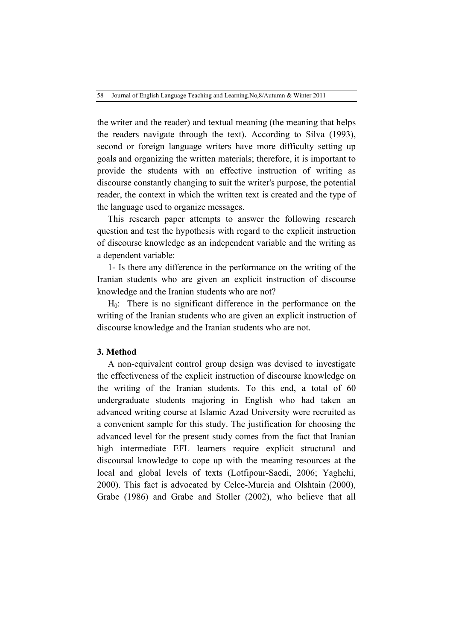the writer and the reader) and textual meaning (the meaning that helps the readers navigate through the text). According to Silva (1993), second or foreign language writers have more difficulty setting up goals and organizing the written materials; therefore, it is important to provide the students with an effective instruction of writing as discourse constantly changing to suit the writer's purpose, the potential reader, the context in which the written text is created and the type of the language used to organize messages.

This research paper attempts to answer the following research question and test the hypothesis with regard to the explicit instruction of discourse knowledge as an independent variable and the writing as a dependent variable:

1- Is there any difference in the performance on the writing of the Iranian students who are given an explicit instruction of discourse knowledge and the Iranian students who are not?

 $H<sub>0</sub>$ : There is no significant difference in the performance on the writing of the Iranian students who are given an explicit instruction of discourse knowledge and the Iranian students who are not.

### **3. Method**

A non-equivalent control group design was devised to investigate the effectiveness of the explicit instruction of discourse knowledge on the writing of the Iranian students. To this end, a total of 60 undergraduate students majoring in English who had taken an advanced writing course at Islamic Azad University were recruited as a convenient sample for this study. The justification for choosing the advanced level for the present study comes from the fact that Iranian high intermediate EFL learners require explicit structural and discoursal knowledge to cope up with the meaning resources at the local and global levels of texts (Lotfipour-Saedi, 2006; Yaghchi, 2000). This fact is advocated by Celce-Murcia and Olshtain (2000), Grabe (1986) and Grabe and Stoller (2002), who believe that all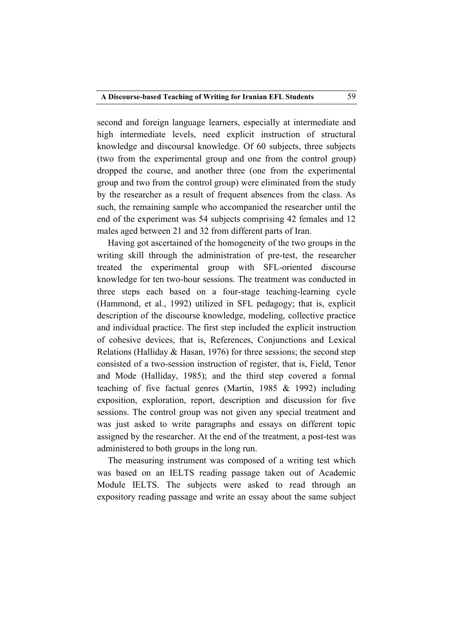second and foreign language learners, especially at intermediate and high intermediate levels, need explicit instruction of structural knowledge and discoursal knowledge. Of 60 subjects, three subjects (two from the experimental group and one from the control group) dropped the course, and another three (one from the experimental group and two from the control group) were eliminated from the study by the researcher as a result of frequent absences from the class. As such, the remaining sample who accompanied the researcher until the end of the experiment was 54 subjects comprising 42 females and 12 males aged between 21 and 32 from different parts of Iran.

Having got ascertained of the homogeneity of the two groups in the writing skill through the administration of pre-test, the researcher treated the experimental group with SFL-oriented discourse knowledge for ten two-hour sessions. The treatment was conducted in three steps each based on a four-stage teaching-learning cycle (Hammond, et al., 1992) utilized in SFL pedagogy; that is, explicit description of the discourse knowledge, modeling, collective practice and individual practice. The first step included the explicit instruction of cohesive devices, that is, References, Conjunctions and Lexical Relations (Halliday & Hasan, 1976) for three sessions; the second step consisted of a two-session instruction of register, that is, Field, Tenor and Mode (Halliday, 1985); and the third step covered a formal teaching of five factual genres (Martin, 1985 & 1992) including exposition, exploration, report, description and discussion for five sessions. The control group was not given any special treatment and was just asked to write paragraphs and essays on different topic assigned by the researcher. At the end of the treatment, a post-test was administered to both groups in the long run.

The measuring instrument was composed of a writing test which was based on an IELTS reading passage taken out of Academic Module IELTS. The subjects were asked to read through an expository reading passage and write an essay about the same subject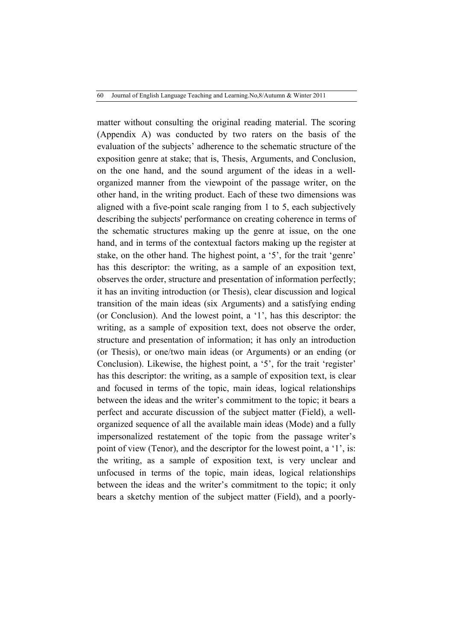matter without consulting the original reading material. The scoring (Appendix A) was conducted by two raters on the basis of the evaluation of the subjects' adherence to the schematic structure of the exposition genre at stake; that is, Thesis, Arguments, and Conclusion, on the one hand, and the sound argument of the ideas in a wellorganized manner from the viewpoint of the passage writer, on the other hand, in the writing product. Each of these two dimensions was aligned with a five-point scale ranging from 1 to 5, each subjectively describing the subjects' performance on creating coherence in terms of the schematic structures making up the genre at issue, on the one hand, and in terms of the contextual factors making up the register at stake, on the other hand. The highest point, a '5', for the trait 'genre' has this descriptor: the writing, as a sample of an exposition text, observes the order, structure and presentation of information perfectly; it has an inviting introduction (or Thesis), clear discussion and logical transition of the main ideas (six Arguments) and a satisfying ending (or Conclusion). And the lowest point, a '1', has this descriptor: the writing, as a sample of exposition text, does not observe the order, structure and presentation of information; it has only an introduction (or Thesis), or one/two main ideas (or Arguments) or an ending (or Conclusion). Likewise, the highest point, a '5', for the trait 'register' has this descriptor: the writing, as a sample of exposition text, is clear and focused in terms of the topic, main ideas, logical relationships between the ideas and the writer's commitment to the topic; it bears a perfect and accurate discussion of the subject matter (Field), a wellorganized sequence of all the available main ideas (Mode) and a fully impersonalized restatement of the topic from the passage writer's point of view (Tenor), and the descriptor for the lowest point, a '1', is: the writing, as a sample of exposition text, is very unclear and unfocused in terms of the topic, main ideas, logical relationships between the ideas and the writer's commitment to the topic; it only bears a sketchy mention of the subject matter (Field), and a poorly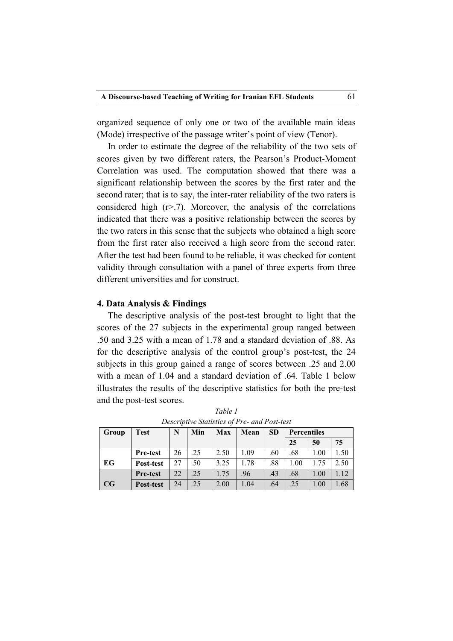organized sequence of only one or two of the available main ideas (Mode) irrespective of the passage writer's point of view (Tenor).

In order to estimate the degree of the reliability of the two sets of scores given by two different raters, the Pearson's Product-Moment Correlation was used. The computation showed that there was a significant relationship between the scores by the first rater and the second rater; that is to say, the inter-rater reliability of the two raters is considered high  $(r>7)$ . Moreover, the analysis of the correlations indicated that there was a positive relationship between the scores by the two raters in this sense that the subjects who obtained a high score from the first rater also received a high score from the second rater. After the test had been found to be reliable, it was checked for content validity through consultation with a panel of three experts from three different universities and for construct.

### **4. Data Analysis & Findings**

The descriptive analysis of the post-test brought to light that the scores of the 27 subjects in the experimental group ranged between .50 and 3.25 with a mean of 1.78 and a standard deviation of .88. As for the descriptive analysis of the control group's post-test, the 24 subjects in this group gained a range of scores between .25 and 2.00 with a mean of 1.04 and a standard deviation of .64. Table 1 below illustrates the results of the descriptive statistics for both the pre-test and the post-test scores.

| Group | <b>Test</b>     | N  | Min | Max  | Mean | <b>SD</b> | <b>Percentiles</b> |      |      |  |
|-------|-----------------|----|-----|------|------|-----------|--------------------|------|------|--|
|       |                 |    |     |      |      |           | 25                 | 50   | 75   |  |
|       | Pre-test        | 26 | .25 | 2.50 | 1.09 | .60       | .68                | 1.00 | 1.50 |  |
| EG    | Post-test       | 27 | .50 | 3.25 | 1.78 | .88       | 1.00               | 1.75 | 2.50 |  |
|       | <b>Pre-test</b> | 22 | .25 | 1.75 | .96  | .43       | .68                | 1.00 | l.12 |  |
| CG    | Post-test       | 24 | .25 | 2.00 | 1.04 | .64       | .25                | 1.00 | 1.68 |  |

*Table 1 Descriptive Statistics of Pre- and Post-test*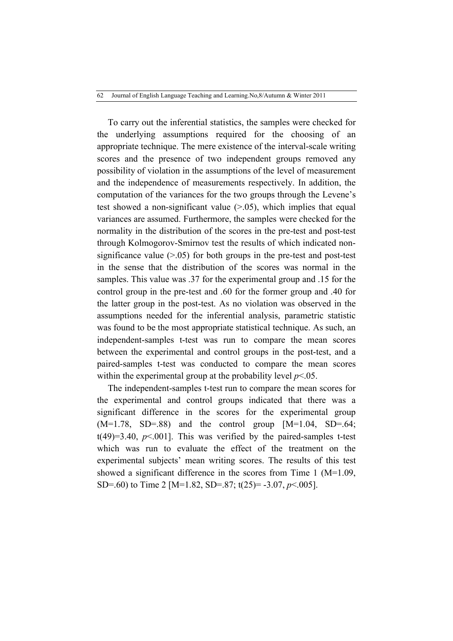To carry out the inferential statistics, the samples were checked for the underlying assumptions required for the choosing of an appropriate technique. The mere existence of the interval-scale writing scores and the presence of two independent groups removed any possibility of violation in the assumptions of the level of measurement and the independence of measurements respectively. In addition, the computation of the variances for the two groups through the Levene's test showed a non-significant value  $(>0.05)$ , which implies that equal variances are assumed. Furthermore, the samples were checked for the normality in the distribution of the scores in the pre-test and post-test through Kolmogorov-Smirnov test the results of which indicated nonsignificance value  $(>0.05)$  for both groups in the pre-test and post-test in the sense that the distribution of the scores was normal in the samples. This value was .37 for the experimental group and .15 for the control group in the pre-test and .60 for the former group and .40 for the latter group in the post-test. As no violation was observed in the assumptions needed for the inferential analysis, parametric statistic was found to be the most appropriate statistical technique. As such, an independent-samples t-test was run to compare the mean scores between the experimental and control groups in the post-test, and a paired-samples t-test was conducted to compare the mean scores within the experimental group at the probability level  $p<05$ .

The independent-samples t-test run to compare the mean scores for the experimental and control groups indicated that there was a significant difference in the scores for the experimental group  $(M=1.78, SD=.88)$  and the control group  $[M=1.04, SD=.64;$ t(49)=3.40,  $p<0.001$ ]. This was verified by the paired-samples t-test which was run to evaluate the effect of the treatment on the experimental subjects' mean writing scores. The results of this test showed a significant difference in the scores from Time 1 (M=1.09, SD=.60) to Time 2 [M=1.82, SD=.87; t(25)= -3.07, *p*<.005].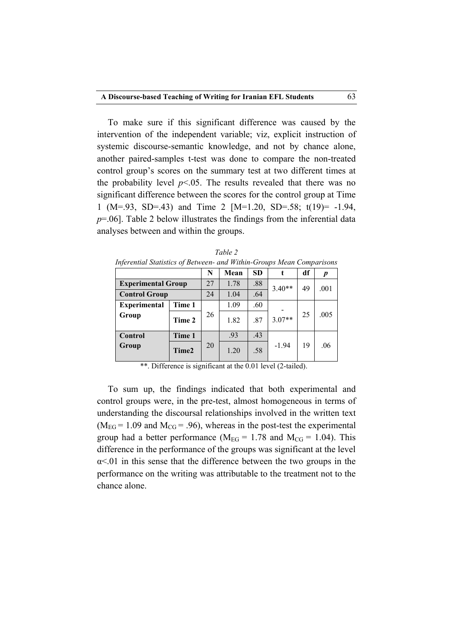To make sure if this significant difference was caused by the intervention of the independent variable; viz, explicit instruction of systemic discourse-semantic knowledge, and not by chance alone, another paired-samples t-test was done to compare the non-treated control group's scores on the summary test at two different times at the probability level  $p<05$ . The results revealed that there was no significant difference between the scores for the control group at Time 1 (M=.93, SD=.43) and Time 2 [M=1.20, SD=.58; t(19)= -1.94, *p*=.06]. Table 2 below illustrates the findings from the inferential data analyses between and within the groups.

| Inferential Statistics of Between- and Within-Groups Mean Comparisons |        |      |           |          |          |      |      |  |  |  |  |
|-----------------------------------------------------------------------|--------|------|-----------|----------|----------|------|------|--|--|--|--|
|                                                                       | N      | Mean | <b>SD</b> |          | df       | p    |      |  |  |  |  |
| <b>Experimental Group</b>                                             | 27     | 1.78 | .88       | $3.40**$ | 49       | .001 |      |  |  |  |  |
| <b>Control Group</b>                                                  |        | 24   | 1.04      | .64      |          |      |      |  |  |  |  |
| <b>Experimental</b>                                                   | Time 1 |      | 1.09      | .60      |          |      |      |  |  |  |  |
| Group                                                                 | Time 2 | 26   | 1.82      | .87      | $3.07**$ | 25   | .005 |  |  |  |  |
| Control                                                               | Time 1 |      | .93       | .43      |          |      |      |  |  |  |  |
| Group                                                                 | Time2  | 20   | 1.20      | .58      | $-1.94$  | 19   | .06  |  |  |  |  |

*Table 2*

\*\*. Difference is significant at the 0.01 level (2-tailed).

To sum up, the findings indicated that both experimental and control groups were, in the pre-test, almost homogeneous in terms of understanding the discoursal relationships involved in the written text  $(M_{EG} = 1.09$  and  $M_{CG} = .96)$ , whereas in the post-test the experimental group had a better performance ( $M_{EG} = 1.78$  and  $M_{CG} = 1.04$ ). This difference in the performance of the groups was significant at the level  $\alpha$ <.01 in this sense that the difference between the two groups in the performance on the writing was attributable to the treatment not to the chance alone.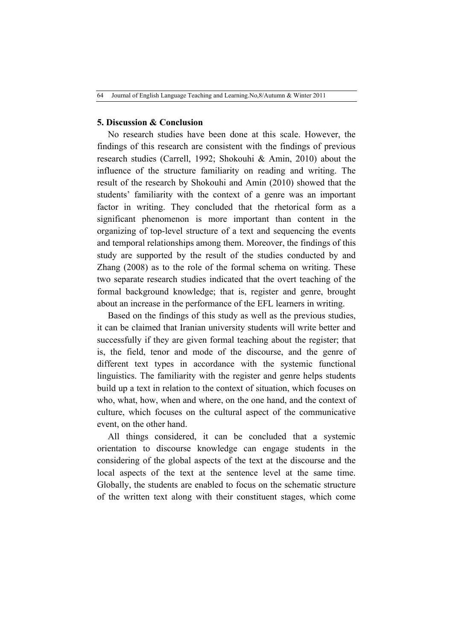### **5. Discussion & Conclusion**

No research studies have been done at this scale. However, the findings of this research are consistent with the findings of previous research studies (Carrell, 1992; Shokouhi & Amin, 2010) about the influence of the structure familiarity on reading and writing. The result of the research by Shokouhi and Amin (2010) showed that the students' familiarity with the context of a genre was an important factor in writing. They concluded that the rhetorical form as a significant phenomenon is more important than content in the organizing of top-level structure of a text and sequencing the events and temporal relationships among them. Moreover, the findings of this study are supported by the result of the studies conducted by and Zhang (2008) as to the role of the formal schema on writing. These two separate research studies indicated that the overt teaching of the formal background knowledge; that is, register and genre, brought about an increase in the performance of the EFL learners in writing.

Based on the findings of this study as well as the previous studies, it can be claimed that Iranian university students will write better and successfully if they are given formal teaching about the register; that is, the field, tenor and mode of the discourse, and the genre of different text types in accordance with the systemic functional linguistics. The familiarity with the register and genre helps students build up a text in relation to the context of situation, which focuses on who, what, how, when and where, on the one hand, and the context of culture, which focuses on the cultural aspect of the communicative event, on the other hand.

All things considered, it can be concluded that a systemic orientation to discourse knowledge can engage students in the considering of the global aspects of the text at the discourse and the local aspects of the text at the sentence level at the same time. Globally, the students are enabled to focus on the schematic structure of the written text along with their constituent stages, which come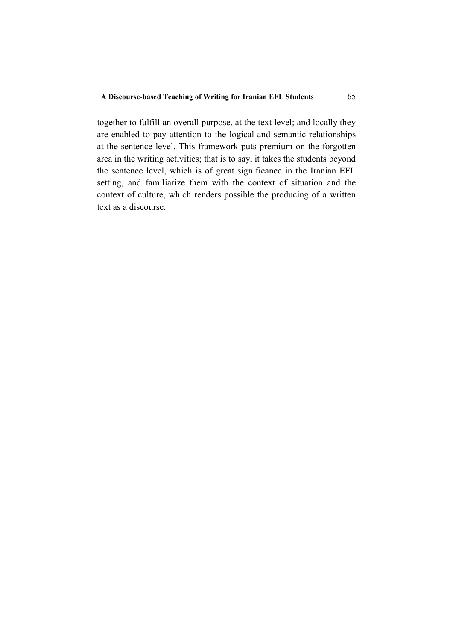together to fulfill an overall purpose, at the text level; and locally they are enabled to pay attention to the logical and semantic relationships at the sentence level. This framework puts premium on the forgotten area in the writing activities; that is to say, it takes the students beyond the sentence level, which is of great significance in the Iranian EFL setting, and familiarize them with the context of situation and the context of culture, which renders possible the producing of a written text as a discourse.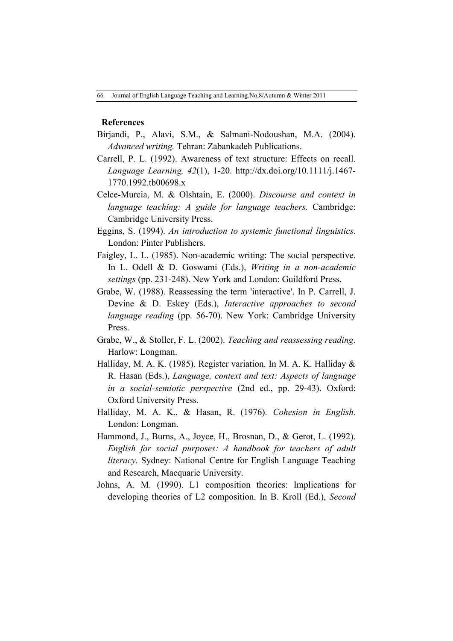### **References**

- Birjandi, P., Alavi, S.M., & Salmani-Nodoushan, M.A. (2004). *Advanced writing.* Tehran: Zabankadeh Publications.
- Carrell, P. L. (1992). Awareness of text structure: Effects on recall. *Language Learning, 42*(1), 1-20. http://dx.doi.org/10.1111/j.1467- 1770.1992.tb00698.x
- Celce-Murcia, M. & Olshtain, E. (2000). *Discourse and context in language teaching: A guide for language teachers.* Cambridge: Cambridge University Press.
- Eggins, S. (1994). *An introduction to systemic functional linguistics*. London: Pinter Publishers.
- Faigley, L. L. (1985). Non-academic writing: The social perspective. In L. Odell & D. Goswami (Eds.), *Writing in a non-academic settings* (pp. 231-248). New York and London: Guildford Press.
- Grabe, W. (1988). Reassessing the term 'interactive'. In P. Carrell, J. Devine & D. Eskey (Eds.), *Interactive approaches to second language reading* (pp. 56-70). New York: Cambridge University Press.
- Grabe, W., & Stoller, F. L. (2002). *Teaching and reassessing reading*. Harlow: Longman.
- Halliday, M. A. K. (1985). Register variation. In M. A. K. Halliday & R. Hasan (Eds.), *Language, context and text: Aspects of language in a social-semiotic perspective* (2nd ed., pp. 29-43). Oxford: Oxford University Press.
- Halliday, M. A. K., & Hasan, R. (1976). *Cohesion in English*. London: Longman.
- Hammond, J., Burns, A., Joyce, H., Brosnan, D., & Gerot, L. (1992). *English for social purposes: A handbook for teachers of adult literacy*. Sydney: National Centre for English Language Teaching and Research, Macquarie University.
- Johns, A. M. (1990). L1 composition theories: Implications for developing theories of L2 composition. In B. Kroll (Ed.), *Second*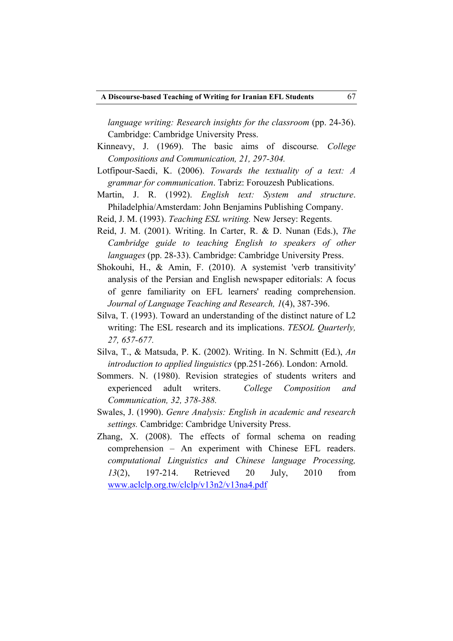*language writing: Research insights for the classroom (pp. 24-36).* Cambridge: Cambridge University Press.

- Kinneavy, J. (1969). The basic aims of discourse*. College Compositions and Communication, 21, 297-304.*
- Lotfipour-Saedi, K. (2006). *Towards the textuality of a text: A grammar for communication*. Tabriz: Forouzesh Publications.
- Martin, J. R. (1992). *English text: System and structure*. Philadelphia/Amsterdam: John Benjamins Publishing Company.
- Reid, J. M. (1993). *Teaching ESL writing.* New Jersey: Regents.
- Reid, J. M. (2001). Writing. In Carter, R. & D. Nunan (Eds.), *The Cambridge guide to teaching English to speakers of other languages* (pp. 28-33). Cambridge: Cambridge University Press.
- Shokouhi, H., & Amin, F. (2010). A systemist 'verb transitivity' analysis of the Persian and English newspaper editorials: A focus of genre familiarity on EFL learners' reading comprehension. *Journal of Language Teaching and Research, 1*(4), 387-396.
- Silva, T. (1993). Toward an understanding of the distinct nature of L2 writing: The ESL research and its implications. *TESOL Quarterly, 27, 657-677.*
- Silva, T., & Matsuda, P. K. (2002). Writing. In N. Schmitt (Ed.), *An introduction to applied linguistics* (pp.251-266). London: Arnold.
- Sommers. N. (1980). Revision strategies of students writers and experienced adult writers. *College Composition and Communication, 32, 378-388.*
- Swales, J. (1990). *Genre Analysis: English in academic and research settings.* Cambridge: Cambridge University Press.
- Zhang, X. (2008). The effects of formal schema on reading comprehension – An experiment with Chinese EFL readers. *computational Linguistics and Chinese language Processing, 13*(2), 197-214. Retrieved 20 July, 2010 from www.aclclp.org.tw/clclp/v13n2/v13na4.pdf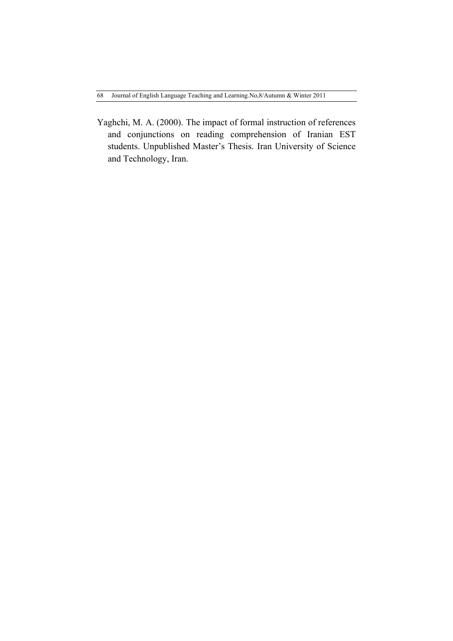Yaghchi, M. A. (2000). The impact of formal instruction of references and conjunctions on reading comprehension of Iranian EST students. Unpublished Master's Thesis. Iran University of Science and Technology, Iran.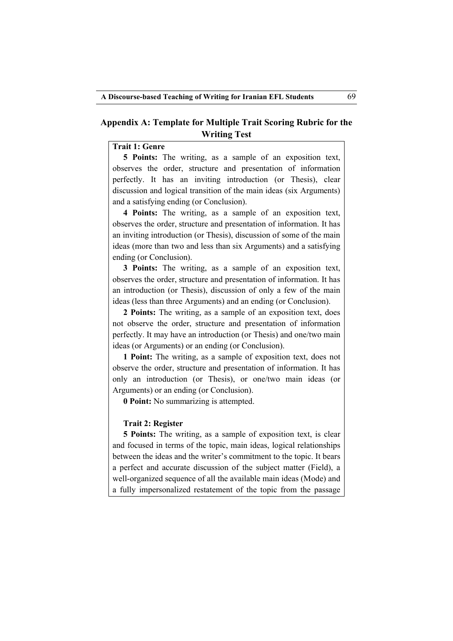## **Appendix A: Template for Multiple Trait Scoring Rubric for the Writing Test**

# **Trait 1: Genre**

**5 Points:** The writing, as a sample of an exposition text, observes the order, structure and presentation of information perfectly. It has an inviting introduction (or Thesis), clear discussion and logical transition of the main ideas (six Arguments) and a satisfying ending (or Conclusion).

**4 Points:** The writing, as a sample of an exposition text, observes the order, structure and presentation of information. It has an inviting introduction (or Thesis), discussion of some of the main ideas (more than two and less than six Arguments) and a satisfying ending (or Conclusion).

**3 Points:** The writing, as a sample of an exposition text, observes the order, structure and presentation of information. It has an introduction (or Thesis), discussion of only a few of the main ideas (less than three Arguments) and an ending (or Conclusion).

**2 Points:** The writing, as a sample of an exposition text, does not observe the order, structure and presentation of information perfectly. It may have an introduction (or Thesis) and one/two main ideas (or Arguments) or an ending (or Conclusion).

**1 Point:** The writing, as a sample of exposition text, does not observe the order, structure and presentation of information. It has only an introduction (or Thesis), or one/two main ideas (or Arguments) or an ending (or Conclusion).

**0 Point:** No summarizing is attempted.

### **Trait 2: Register**

**5 Points:** The writing, as a sample of exposition text, is clear and focused in terms of the topic, main ideas, logical relationships between the ideas and the writer's commitment to the topic. It bears a perfect and accurate discussion of the subject matter (Field), a well-organized sequence of all the available main ideas (Mode) and a fully impersonalized restatement of the topic from the passage